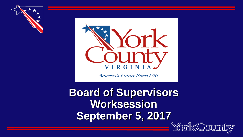



America's Future Since 1781

**Board of Supervisors Worksession September 5, 2017**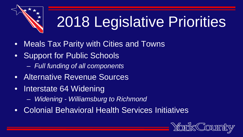

# 2018 Legislative Priorities

- Meals Tax Parity with Cities and Towns
- Support for Public Schools
	- *Full funding of all components*
- Alternative Revenue Sources
- Interstate 64 Widening
	- *Widening - Williamsburg to Richmond*
- Colonial Behavioral Health Services Initiatives

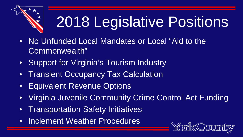

# 2018 Legislative Positions

- No Unfunded Local Mandates or Local "Aid to the Commonwealth"
- Support for Virginia's Tourism Industry
- **Transient Occupancy Tax Calculation**
- **Equivalent Revenue Options**
- Virginia Juvenile Community Crime Control Act Funding
- Transportation Safety Initiatives
- Inclement Weather Procedures

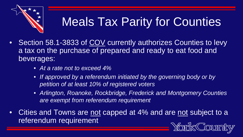

# Meals Tax Parity for Counties

- Section 58.1-3833 of COV currently authorizes Counties to levy a tax on the purchase of prepared and ready to eat food and beverages:
	- *At a rate not to exceed 4%*
	- *If approved by a referendum initiated by the governing body or by petition of at least 10% of registered voters*
	- *Arlington, Roanoke, Rockbridge, Frederick and Montgomery Counties are exempt from referendum requirement*
- Cities and Towns are not capped at 4% and are not subject to a referendum requirement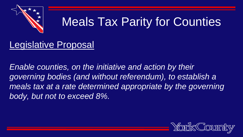

## Meals Tax Parity for Counties

#### Legislative Proposal

*Enable counties, on the initiative and action by their governing bodies (and without referendum), to establish a meals tax at a rate determined appropriate by the governing body, but not to exceed 8%.*

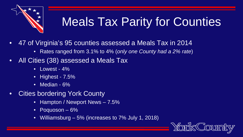

# **Meals Tax Parity for Counties**

- 47 of Virginia's 95 counties assessed a Meals Tax in 2014
	- Rates ranged from 3.1% to 4% (*only one County had a 2% rate*)
- All Cities (38) assessed a Meals Tax
	- Lowest 4%
	- Highest 7.5%
	- Median 6%
- **Cities bordering York County** 
	- Hampton / Newport News 7.5%
	- Poquoson 6%
	- Williamsburg 5% (increases to 7% July 1, 2018)

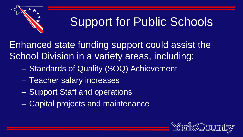

#### Support for Public Schools

Enhanced state funding support could assist the School Division in a variety areas, including:

- Standards of Quality (SOQ) Achievement
- Teacher salary increases
- Support Staff and operations
- Capital projects and maintenance

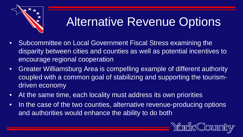

## Alternative Revenue Options

- Subcommittee on Local Government Fiscal Stress examining the disparity between cities and counties as well as potential incentives to encourage regional cooperation
- Greater Williamsburg Area is compelling example of different authority coupled with a common goal of stabilizing and supporting the tourismdriven economy
- At the same time, each locality must address its own priorities
- In the case of the two counties, alternative revenue-producing options and authorities would enhance the ability to do both

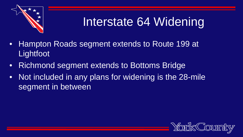

### Interstate 64 Widening

- Hampton Roads segment extends to Route 199 at **Lightfoot**
- Richmond segment extends to Bottoms Bridge
- Not included in any plans for widening is the 28-mile segment in between

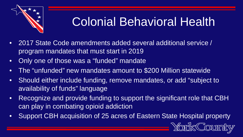

#### Colonial Behavioral Health

- 2017 State Code amendments added several additional service / program mandates that must start in 2019
- Only one of those was a "funded" mandate
- The "unfunded" new mandates amount to \$200 Million statewide
- Should either include funding, remove mandates, or add "subject to availability of funds" language
- Recognize and provide funding to support the significant role that CBH can play in combating opioid addiction
- Support CBH acquisition of 25 acres of Eastern State Hospital property